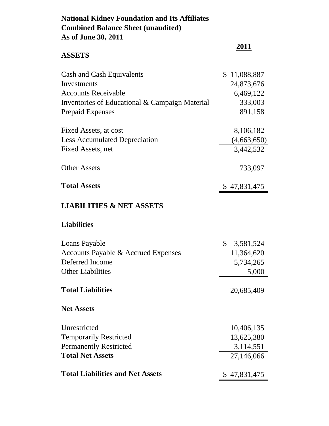# **National Kidney Foundation and Its Affiliates Combined Balance Sheet (unaudited) As of June 30, 2011**

| <b>ASSETS</b>                                  | 2011                      |
|------------------------------------------------|---------------------------|
| Cash and Cash Equivalents                      | \$11,088,887              |
| Investments                                    | 24,873,676                |
| <b>Accounts Receivable</b>                     | 6,469,122                 |
| Inventories of Educational & Campaign Material | 333,003                   |
| <b>Prepaid Expenses</b>                        | 891,158                   |
| Fixed Assets, at cost                          | 8,106,182                 |
| <b>Less Accumulated Depreciation</b>           | (4,663,650)               |
| Fixed Assets, net                              | 3,442,532                 |
| <b>Other Assets</b>                            | 733,097                   |
| <b>Total Assets</b>                            | \$47,831,475              |
| <b>LIABILITIES &amp; NET ASSETS</b>            |                           |
| <b>Liabilities</b>                             |                           |
| Loans Payable                                  | $\mathbb{S}$<br>3,581,524 |
| Accounts Payable & Accrued Expenses            | 11,364,620                |
| Deferred Income                                | 5,734,265                 |
| <b>Other Liabilities</b>                       | 5,000                     |
| <b>Total Liabilities</b>                       | 20,685,409                |

## **Net Assets**

| Unrestricted                            | 10,406,135   |
|-----------------------------------------|--------------|
| <b>Temporarily Restricted</b>           | 13,625,380   |
| <b>Permanently Restricted</b>           | 3,114,551    |
| <b>Total Net Assets</b>                 | 27,146,066   |
| <b>Total Liabilities and Net Assets</b> | \$47,831,475 |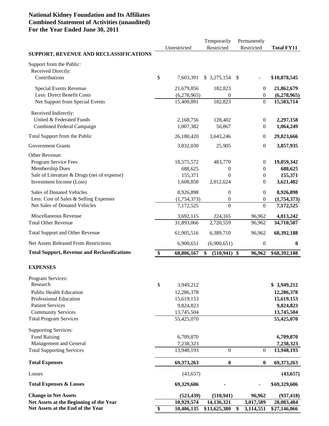### **National Kidney Foundation and Its Affiliates Combined Statement of Activities (unaudited) For the Year Ended June 30, 2011**

|                                                                |                          | Temporarily              | Permanently           |                          |
|----------------------------------------------------------------|--------------------------|--------------------------|-----------------------|--------------------------|
|                                                                | Unrestricted             | Restricted               | Restricted            | <b>Total FY11</b>        |
| SUPPORT, REVENUE AND RECLASSIFICATIONS                         |                          |                          |                       |                          |
| Support from the Public:<br>Received Directly:                 |                          |                          |                       |                          |
| Contributions                                                  | \$<br>7,603,391          | \$3,275,154              | \$                    | \$10,878,545             |
| Special Events Revenue                                         | 21,679,856               | 182,823                  | $\boldsymbol{0}$      | 21,862,679               |
| <b>Less: Direct Benefit Costs</b>                              | (6,278,965)              | 0                        | $\overline{0}$        | (6,278,965)              |
| Net Support from Special Events                                | 15,400,891               | 182,823                  | $\boldsymbol{0}$      | 15,583,714               |
| Received Indirectly:                                           |                          |                          |                       |                          |
| United & Federated Funds                                       | 2,168,756                | 128,402                  | $\theta$              | 2,297,158                |
| Combined Federal Campaign                                      | 1,007,382                | 56,867                   | $\boldsymbol{0}$      | 1,064,249                |
| Total Support from the Public                                  | 26,180,420               | 3,643,246                | $\overline{0}$        | 29,823,666               |
| <b>Government Grants</b>                                       | 3,832,030                | 25,905                   | 0                     | 3,857,935                |
|                                                                |                          |                          |                       |                          |
| Other Revenue:                                                 |                          |                          |                       |                          |
| Program Service Fees                                           | 18,575,572               | 483,770                  | $\boldsymbol{0}$      | 19,059,342               |
| Membership Dues<br>Sale of Literature & Drugs (net of expense) | 688,625<br>155,371       | 0<br>$\theta$            | 0<br>$\boldsymbol{0}$ | 688,625<br>155,371       |
| Investment Income (Loss)                                       | 1,608,858                | 2,012,624                | 0                     | 3,621,482                |
|                                                                |                          |                          |                       |                          |
| <b>Sales of Donated Vehicles</b>                               | 8,926,898                | $\boldsymbol{0}$         | $\boldsymbol{0}$      | 8,926,898                |
| Less: Cost of Sales & Selling Expenses                         | (1,754,373)              | $\boldsymbol{0}$         | $\boldsymbol{0}$      | (1,754,373)              |
| Net Sales of Donated Vehicles                                  | 7,172,525                | $\theta$                 | $\boldsymbol{0}$      | 7,172,525                |
| Miscellaneous Revenue                                          | 3,692,115                | 224,165                  | 96,962                | 4,013,242                |
| <b>Total Other Revenue</b>                                     | 31,893,066               | 2,720,559                | 96,962                | 34,710,587               |
| <b>Total Support and Other Revenue</b>                         | 61,905,516               | 6,389,710                | 96,962                | 68,392,188               |
| <b>Net Assets Released From Restrictions</b>                   | 6,900,651                | (6,900,651)              | $\boldsymbol{0}$      | $\bf{0}$                 |
| <b>Total Support, Revenue and Reclassifications</b>            | \$<br>68,806,167         | \$<br>(510, 941)         | \$<br>96,962          | \$68,392,188             |
| <b>EXPENSES</b>                                                |                          |                          |                       |                          |
|                                                                |                          |                          |                       |                          |
| Program Services:<br>Research                                  |                          |                          |                       |                          |
| <b>Public Health Education</b>                                 | \$<br>3,949,212          |                          |                       | \$3,949,212              |
| Professional Education                                         | 12,286,378<br>15,619,153 |                          |                       | 12,286,378<br>15,619,153 |
| <b>Patient Services</b>                                        | 9,824,823                |                          |                       | 9,824,823                |
| <b>Community Services</b>                                      | 13,745,504               |                          |                       | 13,745,504               |
| <b>Total Program Services</b>                                  | 55,425,070               |                          |                       | 55,425,070               |
| <b>Supporting Services:</b>                                    |                          |                          |                       |                          |
| <b>Fund Raising</b>                                            | 6,709,870                |                          |                       | 6,709,870                |
| Management and General                                         | 7,238,323                |                          |                       | 7,238,323                |
| <b>Total Supporting Services</b>                               | 13,948,193               | $\boldsymbol{0}$         | $\boldsymbol{0}$      | 13,948,193               |
| <b>Total Expenses</b>                                          | 69,373,263               | $\boldsymbol{0}$         | $\bf{0}$              | 69,373,263               |
| Losses                                                         | (43, 657)                |                          |                       | (43, 657)                |
| <b>Total Expenses &amp; Losses</b>                             | 69,329,606               |                          |                       | \$69,329,606             |
| <b>Change in Net Assets</b>                                    |                          |                          |                       |                          |
| Net Assets at the Beginning of the Year                        | (523, 439)<br>10,929,574 | (510, 941)<br>14,136,321 | 96,962<br>3,017,589   | (937, 418)<br>28,083,484 |
| Net Assets at the End of the Year                              | \$<br>10,406,135         | \$13,625,380             | 3,114,551<br>\$       | \$27,146,066             |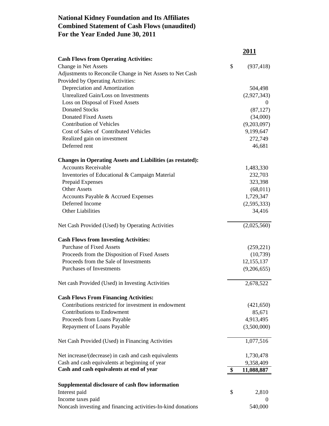## **National Kidney Foundation and Its Affiliates Combined Statement of Cash Flows (unaudited) For the Year Ended June 30, 2011**

|                                                                   | <u>2011</u>      |
|-------------------------------------------------------------------|------------------|
| <b>Cash Flows from Operating Activities:</b>                      |                  |
| Change in Net Assets                                              | \$<br>(937, 418) |
| Adjustments to Reconcile Change in Net Assets to Net Cash         |                  |
| Provided by Operating Activities:                                 |                  |
| Depreciation and Amortization                                     | 504,498          |
| Unrealized Gain/Loss on Investments                               | (2,927,343)      |
| Loss on Disposal of Fixed Assets                                  | $\theta$         |
| <b>Donated Stocks</b>                                             | (87, 127)        |
| <b>Donated Fixed Assets</b>                                       | (34,000)         |
| <b>Contribution of Vehicles</b>                                   | (9,203,097)      |
| Cost of Sales of Contributed Vehicles                             | 9,199,647        |
| Realized gain on investment<br>Deferred rent                      | 272,749          |
|                                                                   | 46,681           |
| <b>Changes in Operating Assets and Liabilities (as restated):</b> |                  |
| <b>Accounts Receivable</b>                                        | 1,483,330        |
| Inventories of Educational & Campaign Material                    | 232,703          |
| Prepaid Expenses                                                  | 323,398          |
| <b>Other Assets</b>                                               | (68, 011)        |
| Accounts Payable & Accrued Expenses                               | 1,729,347        |
| Deferred Income                                                   | (2,595,333)      |
| <b>Other Liabilities</b>                                          | 34,416           |
| Net Cash Provided (Used) by Operating Activities                  | (2,025,560)      |
| <b>Cash Flows from Investing Activities:</b>                      |                  |
| <b>Purchase of Fixed Assets</b>                                   | (259, 221)       |
| Proceeds from the Disposition of Fixed Assets                     | (10,739)         |
| Proceeds from the Sale of Investments                             | 12, 155, 137     |
| <b>Purchases of Investments</b>                                   | (9,206,655)      |
| Net cash Provided (Used) in Investing Activities                  | 2,678,522        |
| <b>Cash Flows From Financing Activities:</b>                      |                  |
| Contributions restricted for investment in endowment              | (421, 650)       |
| <b>Contributions to Endowment</b>                                 | 85,671           |
| Proceeds from Loans Payable                                       | 4,913,495        |
| Repayment of Loans Payable                                        | (3,500,000)      |
| Net Cash Provided (Used) in Financing Activities                  | 1,077,516        |
| Net increase/(decrease) in cash and cash equivalents              | 1,730,478        |
| Cash and cash equivalents at beginning of year                    | 9,358,409        |
| Cash and cash equivalents at end of year                          | \$<br>11,088,887 |
| Supplemental disclosure of cash flow information                  |                  |
| Interest paid                                                     | \$<br>2,810      |
| Income taxes paid                                                 | $\Omega$         |
| Noncash investing and financing activities-In-kind donations      | 540,000          |
|                                                                   |                  |